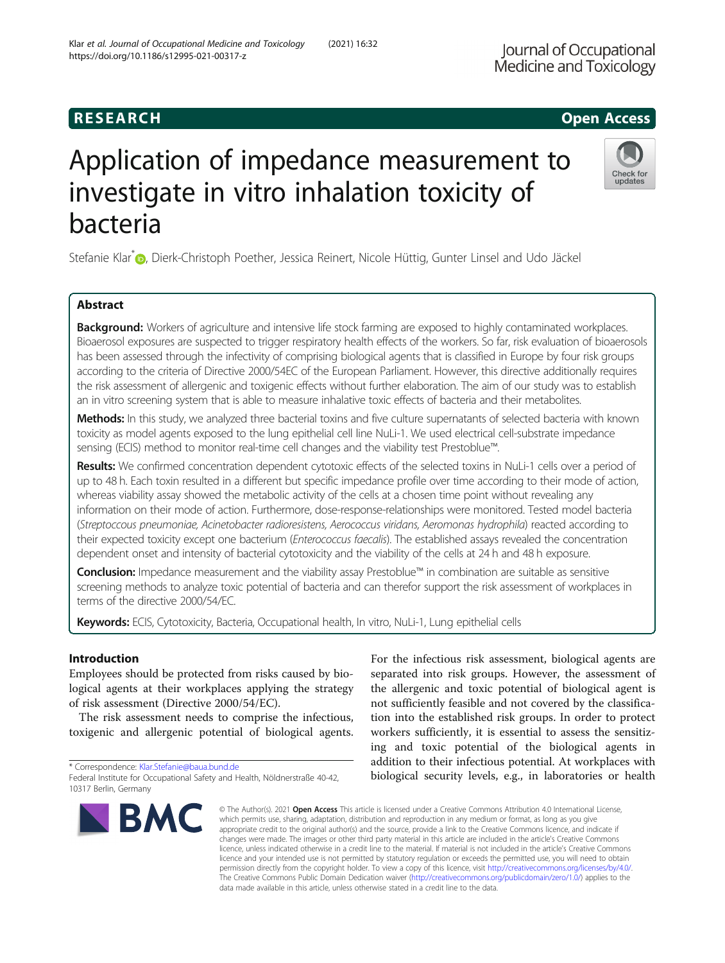## **RESEARCH CHEAR CHEAR CHEAR CHEAR CHEAR CHEAR CHEAR CHEAR CHEAR CHEAR CHEAR CHEAR CHEAR CHEAR CHEAR CHEAR CHEAR**

# Application of impedance measurement to investigate in vitro inhalation toxicity of bacteria

Stefanie Klar<sup>\*</sup> [,](http://orcid.org/0000-0001-5852-5692) Dierk-Christoph Poether, Jessica Reinert, Nicole Hüttig, Gunter Linsel and Udo Jäckel

### Abstract

Background: Workers of agriculture and intensive life stock farming are exposed to highly contaminated workplaces. Bioaerosol exposures are suspected to trigger respiratory health effects of the workers. So far, risk evaluation of bioaerosols has been assessed through the infectivity of comprising biological agents that is classified in Europe by four risk groups according to the criteria of Directive 2000/54EC of the European Parliament. However, this directive additionally requires the risk assessment of allergenic and toxigenic effects without further elaboration. The aim of our study was to establish an in vitro screening system that is able to measure inhalative toxic effects of bacteria and their metabolites.

Methods: In this study, we analyzed three bacterial toxins and five culture supernatants of selected bacteria with known toxicity as model agents exposed to the lung epithelial cell line NuLi-1. We used electrical cell-substrate impedance sensing (ECIS) method to monitor real-time cell changes and the viability test Prestoblue™.

Results: We confirmed concentration dependent cytotoxic effects of the selected toxins in NuLi-1 cells over a period of up to 48 h. Each toxin resulted in a different but specific impedance profile over time according to their mode of action, whereas viability assay showed the metabolic activity of the cells at a chosen time point without revealing any information on their mode of action. Furthermore, dose-response-relationships were monitored. Tested model bacteria (Streptoccous pneumoniae, Acinetobacter radioresistens, Aerococcus viridans, Aeromonas hydrophila) reacted according to their expected toxicity except one bacterium (Enterococcus faecalis). The established assays revealed the concentration dependent onset and intensity of bacterial cytotoxicity and the viability of the cells at 24 h and 48 h exposure.

Conclusion: Impedance measurement and the viability assay Prestoblue™ in combination are suitable as sensitive screening methods to analyze toxic potential of bacteria and can therefor support the risk assessment of workplaces in terms of the directive 2000/54/EC.

Keywords: ECIS, Cytotoxicity, Bacteria, Occupational health, In vitro, NuLi-1, Lung epithelial cells

#### Introduction

Employees should be protected from risks caused by biological agents at their workplaces applying the strategy of risk assessment (Directive 2000/54/EC).

The risk assessment needs to comprise the infectious, toxigenic and allergenic potential of biological agents.

\* Correspondence: [Klar.Stefanie@baua.bund.de](mailto:Klar.Stefanie@baua.bund.de)

© The Author(s), 2021 **Open Access** This article is licensed under a Creative Commons Attribution 4.0 International License, which permits use, sharing, adaptation, distribution and reproduction in any medium or format, as long as you give appropriate credit to the original author(s) and the source, provide a link to the Creative Commons licence, and indicate if changes were made. The images or other third party material in this article are included in the article's Creative Commons licence, unless indicated otherwise in a credit line to the material. If material is not included in the article's Creative Commons licence and your intended use is not permitted by statutory regulation or exceeds the permitted use, you will need to obtain permission directly from the copyright holder. To view a copy of this licence, visit [http://creativecommons.org/licenses/by/4.0/.](http://creativecommons.org/licenses/by/4.0/) The Creative Commons Public Domain Dedication waiver [\(http://creativecommons.org/publicdomain/zero/1.0/](http://creativecommons.org/publicdomain/zero/1.0/)) applies to the data made available in this article, unless otherwise stated in a credit line to the data.

For the infectious risk assessment, biological agents are separated into risk groups. However, the assessment of the allergenic and toxic potential of biological agent is not sufficiently feasible and not covered by the classification into the established risk groups. In order to protect workers sufficiently, it is essential to assess the sensitizing and toxic potential of the biological agents in addition to their infectious potential. At workplaces with biological security levels, e.g., in laboratories or health

Federal Institute for Occupational Safety and Health, Nöldnerstraße 40-42, 10317 Berlin, Germany

**BMC** 



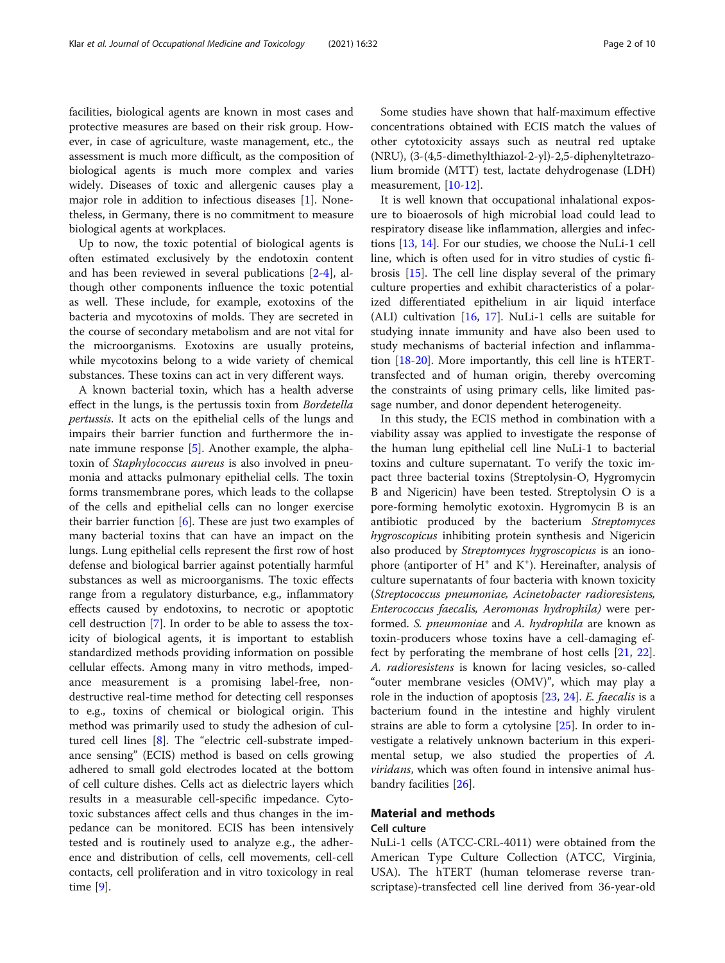facilities, biological agents are known in most cases and protective measures are based on their risk group. However, in case of agriculture, waste management, etc., the assessment is much more difficult, as the composition of biological agents is much more complex and varies widely. Diseases of toxic and allergenic causes play a major role in addition to infectious diseases [\[1](#page-8-0)]. Nonetheless, in Germany, there is no commitment to measure biological agents at workplaces.

Up to now, the toxic potential of biological agents is often estimated exclusively by the endotoxin content and has been reviewed in several publications [\[2](#page-8-0)-[4\]](#page-8-0), although other components influence the toxic potential as well. These include, for example, exotoxins of the bacteria and mycotoxins of molds. They are secreted in the course of secondary metabolism and are not vital for the microorganisms. Exotoxins are usually proteins, while mycotoxins belong to a wide variety of chemical substances. These toxins can act in very different ways.

A known bacterial toxin, which has a health adverse effect in the lungs, is the pertussis toxin from Bordetella pertussis. It acts on the epithelial cells of the lungs and impairs their barrier function and furthermore the innate immune response [[5\]](#page-9-0). Another example, the alphatoxin of Staphylococcus aureus is also involved in pneumonia and attacks pulmonary epithelial cells. The toxin forms transmembrane pores, which leads to the collapse of the cells and epithelial cells can no longer exercise their barrier function  $[6]$  $[6]$ . These are just two examples of many bacterial toxins that can have an impact on the lungs. Lung epithelial cells represent the first row of host defense and biological barrier against potentially harmful substances as well as microorganisms. The toxic effects range from a regulatory disturbance, e.g., inflammatory effects caused by endotoxins, to necrotic or apoptotic cell destruction [\[7](#page-9-0)]. In order to be able to assess the toxicity of biological agents, it is important to establish standardized methods providing information on possible cellular effects. Among many in vitro methods, impedance measurement is a promising label-free, nondestructive real-time method for detecting cell responses to e.g., toxins of chemical or biological origin. This method was primarily used to study the adhesion of cultured cell lines [[8](#page-9-0)]. The "electric cell-substrate impedance sensing" (ECIS) method is based on cells growing adhered to small gold electrodes located at the bottom of cell culture dishes. Cells act as dielectric layers which results in a measurable cell-specific impedance. Cytotoxic substances affect cells and thus changes in the impedance can be monitored. ECIS has been intensively tested and is routinely used to analyze e.g., the adherence and distribution of cells, cell movements, cell-cell contacts, cell proliferation and in vitro toxicology in real time [\[9](#page-9-0)].

Some studies have shown that half-maximum effective concentrations obtained with ECIS match the values of other cytotoxicity assays such as neutral red uptake (NRU), (3-(4,5-dimethylthiazol-2-yl)-2,5-diphenyltetrazolium bromide (MTT) test, lactate dehydrogenase (LDH) measurement, [\[10](#page-9-0)-[12\]](#page-9-0).

It is well known that occupational inhalational exposure to bioaerosols of high microbial load could lead to respiratory disease like inflammation, allergies and infections [[13,](#page-9-0) [14\]](#page-9-0). For our studies, we choose the NuLi-1 cell line, which is often used for in vitro studies of cystic fibrosis [\[15\]](#page-9-0). The cell line display several of the primary culture properties and exhibit characteristics of a polarized differentiated epithelium in air liquid interface (ALI) cultivation  $[16, 17]$  $[16, 17]$  $[16, 17]$  $[16, 17]$ . NuLi-1 cells are suitable for studying innate immunity and have also been used to study mechanisms of bacterial infection and inflammation [[18-20](#page-9-0)]. More importantly, this cell line is hTERTtransfected and of human origin, thereby overcoming the constraints of using primary cells, like limited passage number, and donor dependent heterogeneity.

In this study, the ECIS method in combination with a viability assay was applied to investigate the response of the human lung epithelial cell line NuLi-1 to bacterial toxins and culture supernatant. To verify the toxic impact three bacterial toxins (Streptolysin-O, Hygromycin B and Nigericin) have been tested. Streptolysin O is a pore-forming hemolytic exotoxin. Hygromycin B is an antibiotic produced by the bacterium Streptomyces hygroscopicus inhibiting protein synthesis and Nigericin also produced by Streptomyces hygroscopicus is an ionophore (antiporter of  $H^+$  and  $K^+$ ). Hereinafter, analysis of culture supernatants of four bacteria with known toxicity (Streptococcus pneumoniae, Acinetobacter radioresistens, Enterococcus faecalis, Aeromonas hydrophila) were performed. S. pneumoniae and A. hydrophila are known as toxin-producers whose toxins have a cell-damaging effect by perforating the membrane of host cells [[21](#page-9-0), [22](#page-9-0)]. A. radioresistens is known for lacing vesicles, so-called "outer membrane vesicles (OMV)", which may play a role in the induction of apoptosis [[23,](#page-9-0) [24\]](#page-9-0). E. faecalis is a bacterium found in the intestine and highly virulent strains are able to form a cytolysine [[25](#page-9-0)]. In order to investigate a relatively unknown bacterium in this experimental setup, we also studied the properties of A. viridans, which was often found in intensive animal husbandry facilities [\[26](#page-9-0)].

#### Material and methods Cell culture

NuLi-1 cells (ATCC-CRL-4011) were obtained from the American Type Culture Collection (ATCC, Virginia, USA). The hTERT (human telomerase reverse transcriptase)-transfected cell line derived from 36-year-old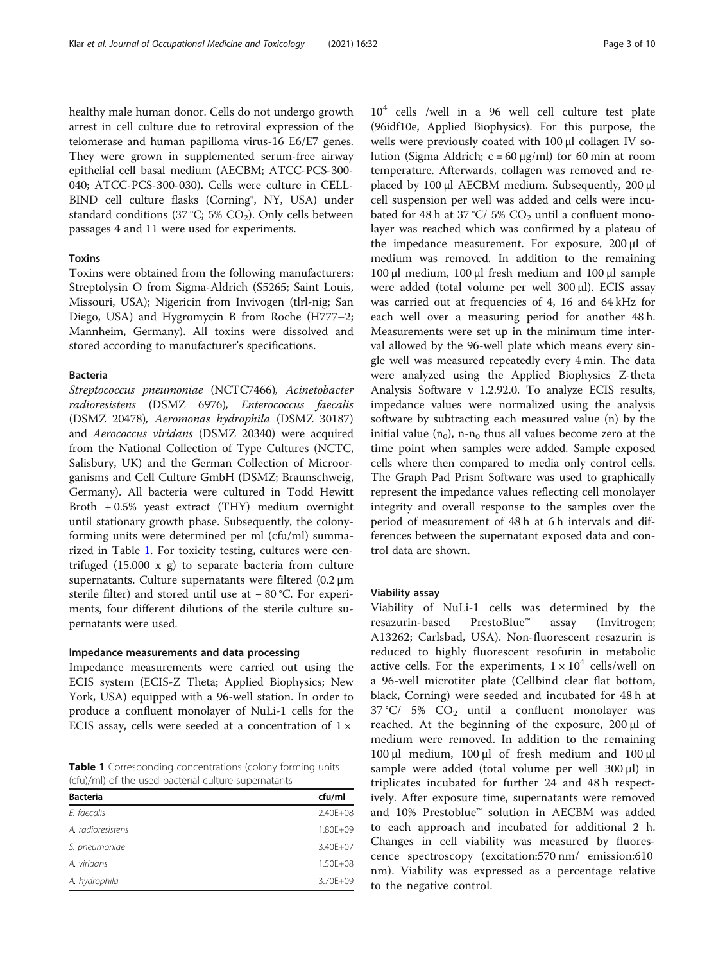healthy male human donor. Cells do not undergo growth arrest in cell culture due to retroviral expression of the telomerase and human papilloma virus-16 E6/E7 genes. They were grown in supplemented serum-free airway epithelial cell basal medium (AECBM; ATCC-PCS-300- 040; ATCC-PCS-300-030). Cells were culture in CELL-BIND cell culture flasks (Corning®, NY, USA) under standard conditions (37 °C; 5%  $CO<sub>2</sub>$ ). Only cells between passages 4 and 11 were used for experiments.

#### Toxins

Toxins were obtained from the following manufacturers: Streptolysin O from Sigma-Aldrich (S5265; Saint Louis, Missouri, USA); Nigericin from Invivogen (tlrl-nig; San Diego, USA) and Hygromycin B from Roche (H777–2; Mannheim, Germany). All toxins were dissolved and stored according to manufacturer's specifications.

#### Bacteria

Streptococcus pneumoniae (NCTC7466), Acinetobacter radioresistens (DSMZ 6976), Enterococcus faecalis (DSMZ 20478), Aeromonas hydrophila (DSMZ 30187) and Aerococcus viridans (DSMZ 20340) were acquired from the National Collection of Type Cultures (NCTC, Salisbury, UK) and the German Collection of Microorganisms and Cell Culture GmbH (DSMZ; Braunschweig, Germany). All bacteria were cultured in Todd Hewitt Broth + 0.5% yeast extract (THY) medium overnight until stationary growth phase. Subsequently, the colonyforming units were determined per ml (cfu/ml) summarized in Table 1. For toxicity testing, cultures were centrifuged (15.000 x g) to separate bacteria from culture supernatants. Culture supernatants were filtered (0.2 μm sterile filter) and stored until use at − 80 °C. For experiments, four different dilutions of the sterile culture supernatants were used.

#### Impedance measurements and data processing

Impedance measurements were carried out using the ECIS system (ECIS-Z Theta; Applied Biophysics; New York, USA) equipped with a 96-well station. In order to produce a confluent monolayer of NuLi-1 cells for the ECIS assay, cells were seeded at a concentration of  $1 \times$ 

Table 1 Corresponding concentrations (colony forming units (cfu)/ml) of the used bacterial culture supernatants

| <b>Bacteria</b>   | cfu/ml   |
|-------------------|----------|
| E. faecalis       | 2.40E+08 |
| A. radioresistens | 1.80E+09 |
| S. pneumoniae     | 3.40E+07 |
| A. viridans       | 1.50E+08 |
| A. hydrophila     | 3.70E+09 |
|                   |          |

 $10<sup>4</sup>$  cells /well in a 96 well cell culture test plate (96idf10e, Applied Biophysics). For this purpose, the wells were previously coated with 100 μl collagen IV solution (Sigma Aldrich; c = 60 μg/ml) for 60 min at room temperature. Afterwards, collagen was removed and replaced by 100 μl AECBM medium. Subsequently, 200 μl cell suspension per well was added and cells were incubated for 48 h at 37 °C/ 5%  $CO<sub>2</sub>$  until a confluent monolayer was reached which was confirmed by a plateau of the impedance measurement. For exposure, 200 μl of medium was removed. In addition to the remaining 100 μl medium, 100 μl fresh medium and 100 μl sample were added (total volume per well 300 μl). ECIS assay was carried out at frequencies of 4, 16 and 64 kHz for each well over a measuring period for another 48 h. Measurements were set up in the minimum time interval allowed by the 96-well plate which means every single well was measured repeatedly every 4 min. The data were analyzed using the Applied Biophysics Z-theta Analysis Software v 1.2.92.0. To analyze ECIS results, impedance values were normalized using the analysis software by subtracting each measured value (n) by the initial value  $(n_0)$ , n-n<sub>0</sub> thus all values become zero at the time point when samples were added. Sample exposed cells where then compared to media only control cells. The Graph Pad Prism Software was used to graphically represent the impedance values reflecting cell monolayer integrity and overall response to the samples over the period of measurement of 48 h at 6 h intervals and differences between the supernatant exposed data and control data are shown.

#### Viability assay

Viability of NuLi-1 cells was determined by the resazurin-based PrestoBlue™ assay (Invitrogen; A13262; Carlsbad, USA). Non-fluorescent resazurin is reduced to highly fluorescent resofurin in metabolic active cells. For the experiments,  $1 \times 10^4$  cells/well on a 96-well microtiter plate (Cellbind clear flat bottom, black, Corning) were seeded and incubated for 48 h at  $37 \text{ °C}$ /  $5\%$   $CO<sub>2</sub>$  until a confluent monolayer was reached. At the beginning of the exposure, 200 μl of medium were removed. In addition to the remaining 100 μl medium, 100 μl of fresh medium and 100 μl sample were added (total volume per well 300 μl) in triplicates incubated for further 24 and 48 h respectively. After exposure time, supernatants were removed and 10% Prestoblue™ solution in AECBM was added to each approach and incubated for additional 2 h. Changes in cell viability was measured by fluorescence spectroscopy (excitation:570 nm/ emission:610 nm). Viability was expressed as a percentage relative to the negative control.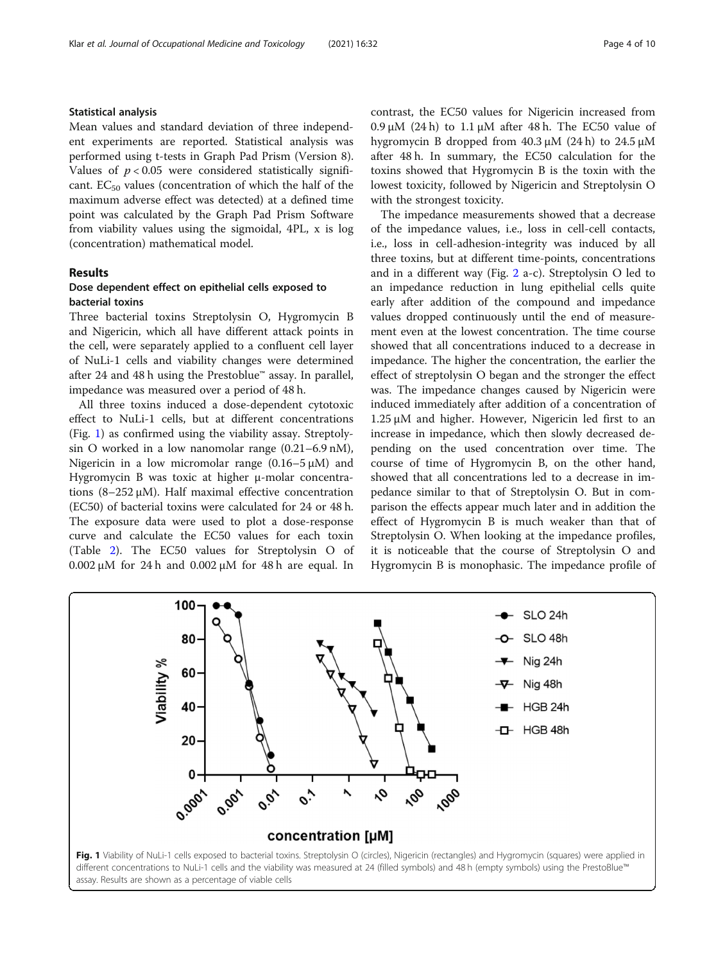#### Statistical analysis

Mean values and standard deviation of three independent experiments are reported. Statistical analysis was performed using t-tests in Graph Pad Prism (Version 8). Values of  $p < 0.05$  were considered statistically significant.  $EC_{50}$  values (concentration of which the half of the maximum adverse effect was detected) at a defined time point was calculated by the Graph Pad Prism Software from viability values using the sigmoidal, 4PL, x is log (concentration) mathematical model.

#### Results

#### Dose dependent effect on epithelial cells exposed to bacterial toxins

Three bacterial toxins Streptolysin O, Hygromycin B and Nigericin, which all have different attack points in the cell, were separately applied to a confluent cell layer of NuLi-1 cells and viability changes were determined after 24 and 48 h using the Prestoblue™ assay. In parallel, impedance was measured over a period of 48 h.

All three toxins induced a dose-dependent cytotoxic effect to NuLi-1 cells, but at different concentrations (Fig. 1) as confirmed using the viability assay. Streptolysin O worked in a low nanomolar range (0.21–6.9 nM), Nigericin in a low micromolar range  $(0.16-5 \mu M)$  and Hygromycin B was toxic at higher μ-molar concentrations (8–252 μM). Half maximal effective concentration (EC50) of bacterial toxins were calculated for 24 or 48 h. The exposure data were used to plot a dose-response curve and calculate the EC50 values for each toxin (Table [2](#page-4-0)). The EC50 values for Streptolysin O of 0.002 μM for 24 h and 0.002 μM for 48 h are equal. In contrast, the EC50 values for Nigericin increased from  $0.9 \mu$ M (24 h) to 1.1  $\mu$ M after 48 h. The EC50 value of hygromycin B dropped from 40.3 μM (24 h) to 24.5 μM after 48 h. In summary, the EC50 calculation for the toxins showed that Hygromycin B is the toxin with the lowest toxicity, followed by Nigericin and Streptolysin O with the strongest toxicity.

The impedance measurements showed that a decrease of the impedance values, i.e., loss in cell-cell contacts, i.e., loss in cell-adhesion-integrity was induced by all three toxins, but at different time-points, concentrations and in a different way (Fig. [2](#page-6-0) a-c). Streptolysin O led to an impedance reduction in lung epithelial cells quite early after addition of the compound and impedance values dropped continuously until the end of measurement even at the lowest concentration. The time course showed that all concentrations induced to a decrease in impedance. The higher the concentration, the earlier the effect of streptolysin O began and the stronger the effect was. The impedance changes caused by Nigericin were induced immediately after addition of a concentration of 1.25 μM and higher. However, Nigericin led first to an increase in impedance, which then slowly decreased depending on the used concentration over time. The course of time of Hygromycin B, on the other hand, showed that all concentrations led to a decrease in impedance similar to that of Streptolysin O. But in comparison the effects appear much later and in addition the effect of Hygromycin B is much weaker than that of Streptolysin O. When looking at the impedance profiles, it is noticeable that the course of Streptolysin O and Hygromycin B is monophasic. The impedance profile of

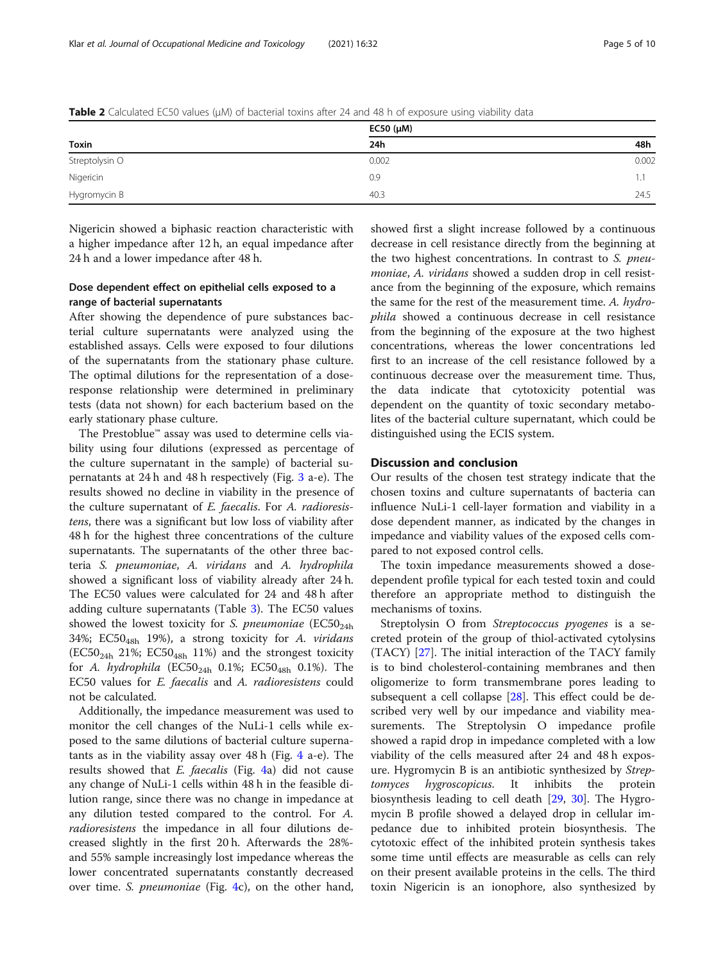|                | EC50 $(\mu M)$ |       |
|----------------|----------------|-------|
| Toxin          | 24h            | 48h   |
| Streptolysin O | 0.002          | 0.002 |
| Nigericin      | 0.9            |       |
| Hygromycin B   | 40.3           | 24.5  |

<span id="page-4-0"></span>Table 2 Calculated EC50 values (μM) of bacterial toxins after 24 and 48 h of exposure using viability data

Nigericin showed a biphasic reaction characteristic with a higher impedance after 12 h, an equal impedance after 24 h and a lower impedance after 48 h.

#### Dose dependent effect on epithelial cells exposed to a range of bacterial supernatants

After showing the dependence of pure substances bacterial culture supernatants were analyzed using the established assays. Cells were exposed to four dilutions of the supernatants from the stationary phase culture. The optimal dilutions for the representation of a doseresponse relationship were determined in preliminary tests (data not shown) for each bacterium based on the early stationary phase culture.

The Prestoblue™ assay was used to determine cells viability using four dilutions (expressed as percentage of the culture supernatant in the sample) of bacterial supernatants at 24 h and 48 h respectively (Fig. [3](#page-6-0) a-e). The results showed no decline in viability in the presence of the culture supernatant of E. faecalis. For A. radioresistens, there was a significant but low loss of viability after 48 h for the highest three concentrations of the culture supernatants. The supernatants of the other three bacteria S. pneumoniae, A. viridans and A. hydrophila showed a significant loss of viability already after 24 h. The EC50 values were calculated for 24 and 48 h after adding culture supernatants (Table [3](#page-7-0)). The EC50 values showed the lowest toxicity for S. pneumoniae  $(EC50<sub>24h</sub>)$ 34%;  $EC50<sub>48h</sub>$  19%), a strong toxicity for A. viridans  $(EC50<sub>24h</sub> 21%; EC50<sub>48h</sub> 11%)$  and the strongest toxicity for A. hydrophila (EC50<sub>24h</sub> 0.1%; EC50<sub>48h</sub> 0.1%). The EC50 values for E. faecalis and A. radioresistens could not be calculated.

Additionally, the impedance measurement was used to monitor the cell changes of the NuLi-1 cells while exposed to the same dilutions of bacterial culture supernatants as in the viability assay over 48 h (Fig. [4](#page-7-0) a-e). The results showed that  $E$ . *faecalis* (Fig. [4](#page-7-0)a) did not cause any change of NuLi-1 cells within 48 h in the feasible dilution range, since there was no change in impedance at any dilution tested compared to the control. For A. radioresistens the impedance in all four dilutions decreased slightly in the first 20 h. Afterwards the 28% and 55% sample increasingly lost impedance whereas the lower concentrated supernatants constantly decreased over time. S. *pneumoniae* (Fig. [4c](#page-7-0)), on the other hand,

showed first a slight increase followed by a continuous decrease in cell resistance directly from the beginning at the two highest concentrations. In contrast to S. pneumoniae, A. viridans showed a sudden drop in cell resistance from the beginning of the exposure, which remains the same for the rest of the measurement time. A. hydrophila showed a continuous decrease in cell resistance from the beginning of the exposure at the two highest concentrations, whereas the lower concentrations led first to an increase of the cell resistance followed by a continuous decrease over the measurement time. Thus, the data indicate that cytotoxicity potential was dependent on the quantity of toxic secondary metabolites of the bacterial culture supernatant, which could be distinguished using the ECIS system.

#### Discussion and conclusion

Our results of the chosen test strategy indicate that the chosen toxins and culture supernatants of bacteria can influence NuLi-1 cell-layer formation and viability in a dose dependent manner, as indicated by the changes in impedance and viability values of the exposed cells compared to not exposed control cells.

The toxin impedance measurements showed a dosedependent profile typical for each tested toxin and could therefore an appropriate method to distinguish the mechanisms of toxins.

Streptolysin O from Streptococcus pyogenes is a secreted protein of the group of thiol-activated cytolysins (TACY) [[27\]](#page-9-0). The initial interaction of the TACY family is to bind cholesterol-containing membranes and then oligomerize to form transmembrane pores leading to subsequent a cell collapse [\[28](#page-9-0)]. This effect could be described very well by our impedance and viability measurements. The Streptolysin O impedance profile showed a rapid drop in impedance completed with a low viability of the cells measured after 24 and 48 h exposure. Hygromycin B is an antibiotic synthesized by Streptomyces hygroscopicus. It inhibits the protein biosynthesis leading to cell death [\[29,](#page-9-0) [30](#page-9-0)]. The Hygromycin B profile showed a delayed drop in cellular impedance due to inhibited protein biosynthesis. The cytotoxic effect of the inhibited protein synthesis takes some time until effects are measurable as cells can rely on their present available proteins in the cells. The third toxin Nigericin is an ionophore, also synthesized by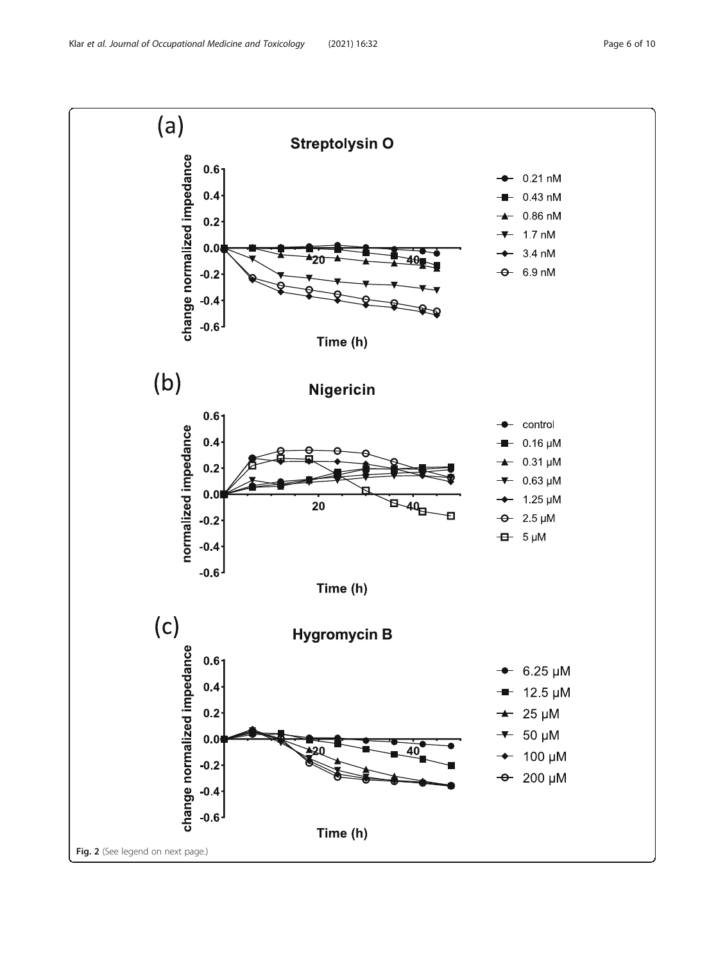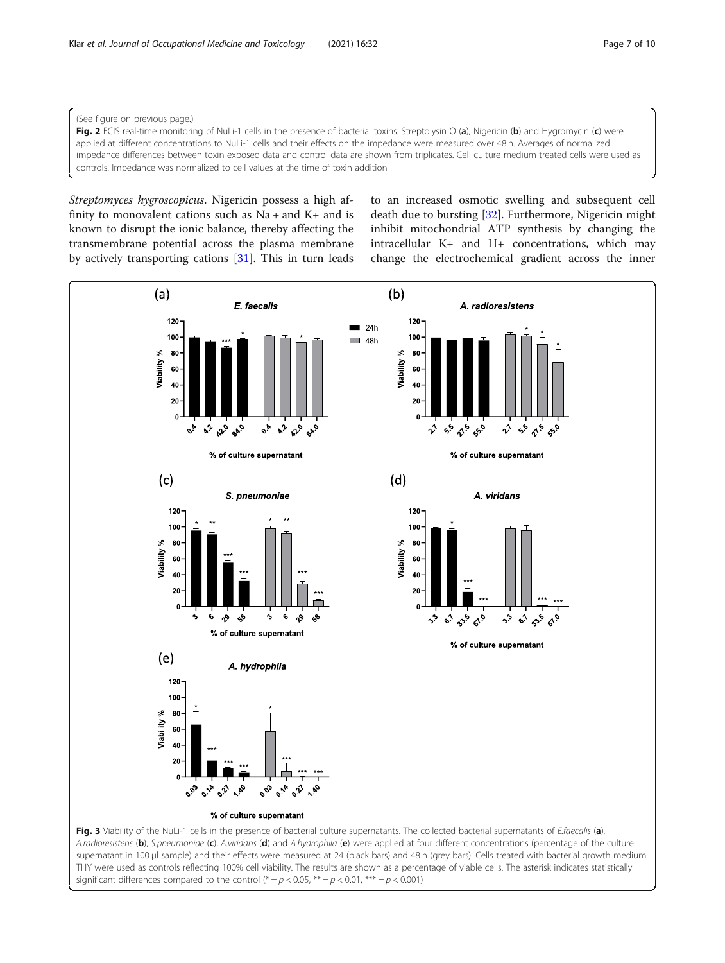<span id="page-6-0"></span>(See figure on previous page.)

Fig. 2 ECIS real-time monitoring of NuLi-1 cells in the presence of bacterial toxins. Streptolysin O (a), Nigericin (b) and Hygromycin (c) were applied at different concentrations to NuLi-1 cells and their effects on the impedance were measured over 48 h. Averages of normalized impedance differences between toxin exposed data and control data are shown from triplicates. Cell culture medium treated cells were used as controls. Impedance was normalized to cell values at the time of toxin addition

Streptomyces hygroscopicus. Nigericin possess a high affinity to monovalent cations such as  $Na + and K +$  and is known to disrupt the ionic balance, thereby affecting the transmembrane potential across the plasma membrane by actively transporting cations [\[31\]](#page-9-0). This in turn leads to an increased osmotic swelling and subsequent cell death due to bursting [[32\]](#page-9-0). Furthermore, Nigericin might inhibit mitochondrial ATP synthesis by changing the intracellular K+ and H+ concentrations, which may change the electrochemical gradient across the inner

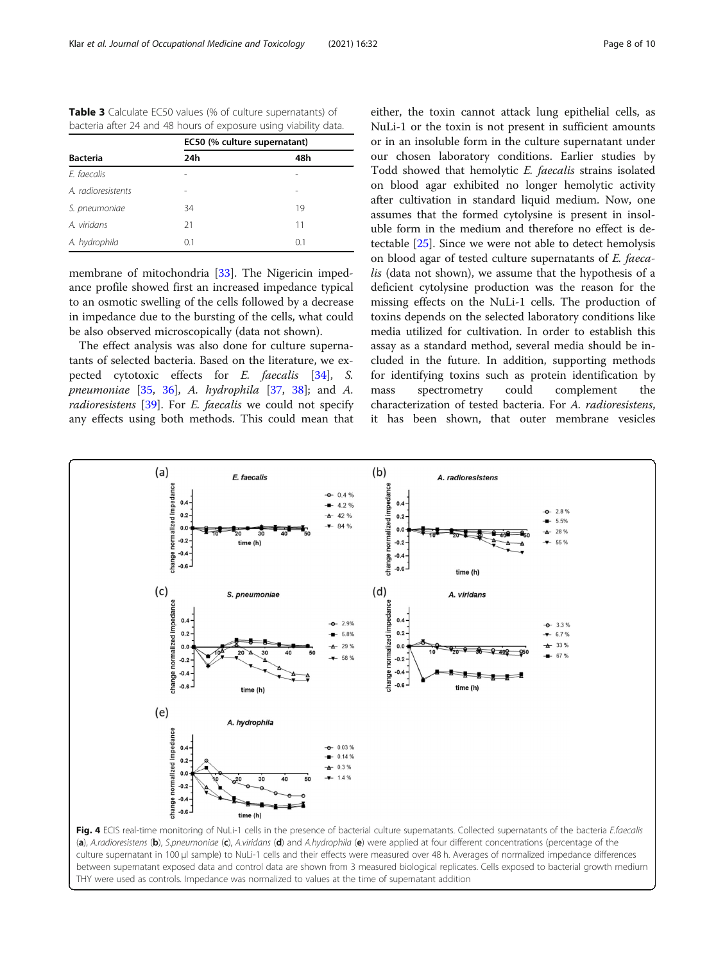<span id="page-7-0"></span>

| <b>Table 3</b> Calculate EC50 values (% of culture supernatants) of |
|---------------------------------------------------------------------|
| bacteria after 24 and 48 hours of exposure using viability data.    |

|                    | EC50 (% culture supernatant) |     |
|--------------------|------------------------------|-----|
| <b>Bacteria</b>    | 24h                          | 48h |
| F. faecalis        |                              |     |
| A. radioresistents |                              |     |
| S. pneumoniae      | 34                           | 19  |
| A. viridans        | 21                           | 11  |
| A. hydrophila      | 0.1                          | 0.1 |

membrane of mitochondria [\[33](#page-9-0)]. The Nigericin impedance profile showed first an increased impedance typical to an osmotic swelling of the cells followed by a decrease in impedance due to the bursting of the cells, what could be also observed microscopically (data not shown).

The effect analysis was also done for culture supernatants of selected bacteria. Based on the literature, we expected cytotoxic effects for E. faecalis [[34](#page-9-0)], S. pneumoniae  $[35, 36]$  $[35, 36]$  $[35, 36]$  $[35, 36]$  $[35, 36]$ , A. hydrophila  $[37, 38]$  $[37, 38]$  $[37, 38]$ ; and A. radioresistens [\[39\]](#page-9-0). For E. faecalis we could not specify any effects using both methods. This could mean that either, the toxin cannot attack lung epithelial cells, as NuLi-1 or the toxin is not present in sufficient amounts or in an insoluble form in the culture supernatant under our chosen laboratory conditions. Earlier studies by Todd showed that hemolytic E. faecalis strains isolated on blood agar exhibited no longer hemolytic activity after cultivation in standard liquid medium. Now, one assumes that the formed cytolysine is present in insoluble form in the medium and therefore no effect is detectable [[25](#page-9-0)]. Since we were not able to detect hemolysis on blood agar of tested culture supernatants of E. faecalis (data not shown), we assume that the hypothesis of a deficient cytolysine production was the reason for the missing effects on the NuLi-1 cells. The production of toxins depends on the selected laboratory conditions like media utilized for cultivation. In order to establish this assay as a standard method, several media should be included in the future. In addition, supporting methods for identifying toxins such as protein identification by mass spectrometry could complement the characterization of tested bacteria. For A. radioresistens, it has been shown, that outer membrane vesicles



(a), A.radioresistens (b), S.pneumoniae (c), A.viridans (d) and A.hydrophila (e) were applied at four different concentrations (percentage of the culture supernatant in 100 μl sample) to NuLi-1 cells and their effects were measured over 48 h. Averages of normalized impedance differences between supernatant exposed data and control data are shown from 3 measured biological replicates. Cells exposed to bacterial growth medium THY were used as controls. Impedance was normalized to values at the time of supernatant addition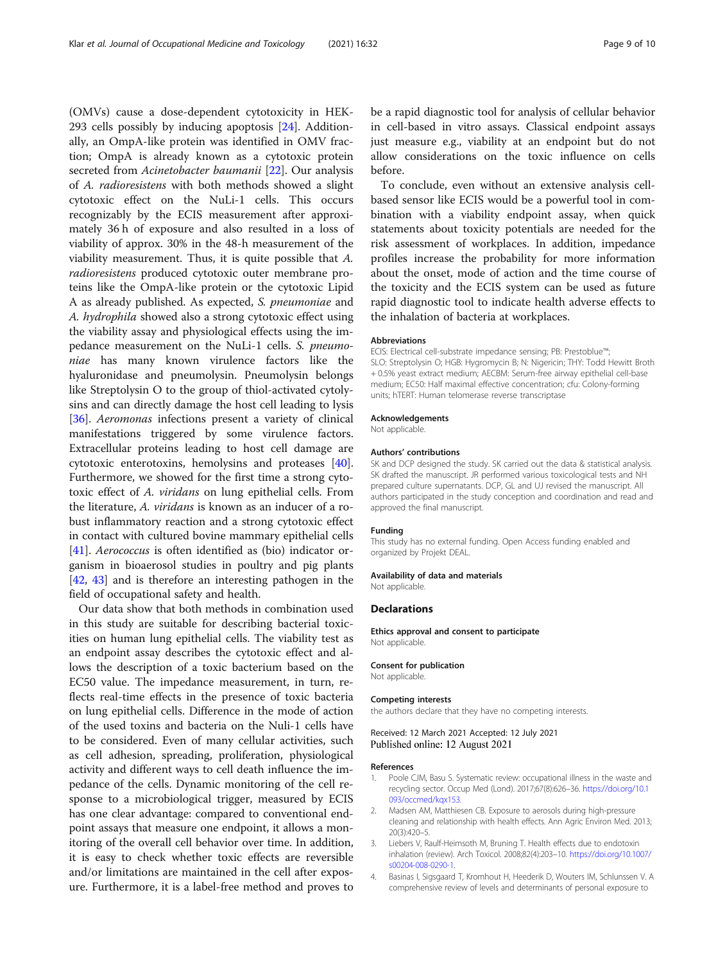<span id="page-8-0"></span>(OMVs) cause a dose-dependent cytotoxicity in HEK-293 cells possibly by inducing apoptosis [[24\]](#page-9-0). Additionally, an OmpA-like protein was identified in OMV fraction; OmpA is already known as a cytotoxic protein secreted from Acinetobacter baumanii [\[22\]](#page-9-0). Our analysis of A. radioresistens with both methods showed a slight cytotoxic effect on the NuLi-1 cells. This occurs recognizably by the ECIS measurement after approximately 36 h of exposure and also resulted in a loss of viability of approx. 30% in the 48-h measurement of the viability measurement. Thus, it is quite possible that A. radioresistens produced cytotoxic outer membrane proteins like the OmpA-like protein or the cytotoxic Lipid A as already published. As expected, S. pneumoniae and A. hydrophila showed also a strong cytotoxic effect using the viability assay and physiological effects using the impedance measurement on the NuLi-1 cells. S. pneumoniae has many known virulence factors like the hyaluronidase and pneumolysin. Pneumolysin belongs like Streptolysin O to the group of thiol-activated cytolysins and can directly damage the host cell leading to lysis [[36\]](#page-9-0). Aeromonas infections present a variety of clinical manifestations triggered by some virulence factors. Extracellular proteins leading to host cell damage are cytotoxic enterotoxins, hemolysins and proteases [\[40](#page-9-0)]. Furthermore, we showed for the first time a strong cytotoxic effect of A. viridans on lung epithelial cells. From the literature, A. viridans is known as an inducer of a robust inflammatory reaction and a strong cytotoxic effect in contact with cultured bovine mammary epithelial cells [[41\]](#page-9-0). Aerococcus is often identified as (bio) indicator organism in bioaerosol studies in poultry and pig plants [[42,](#page-9-0) [43\]](#page-9-0) and is therefore an interesting pathogen in the field of occupational safety and health.

Our data show that both methods in combination used in this study are suitable for describing bacterial toxicities on human lung epithelial cells. The viability test as an endpoint assay describes the cytotoxic effect and allows the description of a toxic bacterium based on the EC50 value. The impedance measurement, in turn, reflects real-time effects in the presence of toxic bacteria on lung epithelial cells. Difference in the mode of action of the used toxins and bacteria on the Nuli-1 cells have to be considered. Even of many cellular activities, such as cell adhesion, spreading, proliferation, physiological activity and different ways to cell death influence the impedance of the cells. Dynamic monitoring of the cell response to a microbiological trigger, measured by ECIS has one clear advantage: compared to conventional endpoint assays that measure one endpoint, it allows a monitoring of the overall cell behavior over time. In addition, it is easy to check whether toxic effects are reversible and/or limitations are maintained in the cell after exposure. Furthermore, it is a label-free method and proves to be a rapid diagnostic tool for analysis of cellular behavior in cell-based in vitro assays. Classical endpoint assays just measure e.g., viability at an endpoint but do not allow considerations on the toxic influence on cells before.

To conclude, even without an extensive analysis cellbased sensor like ECIS would be a powerful tool in combination with a viability endpoint assay, when quick statements about toxicity potentials are needed for the risk assessment of workplaces. In addition, impedance profiles increase the probability for more information about the onset, mode of action and the time course of the toxicity and the ECIS system can be used as future rapid diagnostic tool to indicate health adverse effects to the inhalation of bacteria at workplaces.

#### Abbreviations

ECIS: Electrical cell-substrate impedance sensing; PB: Prestoblue™; SLO: Streptolysin O; HGB: Hygromycin B; N: Nigericin; THY: Todd Hewitt Broth + 0.5% yeast extract medium; AECBM: Serum-free airway epithelial cell-base medium; EC50: Half maximal effective concentration; cfu: Colony-forming units; hTERT: Human telomerase reverse transcriptase

#### Acknowledgements

Not applicable.

#### Authors' contributions

SK and DCP designed the study. SK carried out the data & statistical analysis. SK drafted the manuscript. JR performed various toxicological tests and NH prepared culture supernatants. DCP, GL and UJ revised the manuscript. All authors participated in the study conception and coordination and read and approved the final manuscript.

#### Funding

This study has no external funding. Open Access funding enabled and organized by Projekt DEAL.

#### Availability of data and materials

Not applicable.

#### Declarations

Ethics approval and consent to participate Not applicable.

#### Consent for publication

Not applicable.

#### Competing interests

the authors declare that they have no competing interests.

#### Received: 12 March 2021 Accepted: 12 July 2021 Published online: 12 August 2021

#### References

- 1. Poole CJM, Basu S. Systematic review: occupational illness in the waste and recycling sector. Occup Med (Lond). 2017;67(8):626–36. [https://doi.org/10.1](https://doi.org/10.1093/occmed/kqx153) [093/occmed/kqx153](https://doi.org/10.1093/occmed/kqx153).
- 2. Madsen AM, Matthiesen CB. Exposure to aerosols during high-pressure cleaning and relationship with health effects. Ann Agric Environ Med. 2013; 20(3):420–5.
- 3. Liebers V, Raulf-Heimsoth M, Bruning T. Health effects due to endotoxin inhalation (review). Arch Toxicol. 2008;82(4):203–10. [https://doi.org/10.1007/](https://doi.org/10.1007/s00204-008-0290-1) s00204-008-0290-1
- 4. Basinas I, Sigsgaard T, Kromhout H, Heederik D, Wouters IM, Schlunssen V. A comprehensive review of levels and determinants of personal exposure to